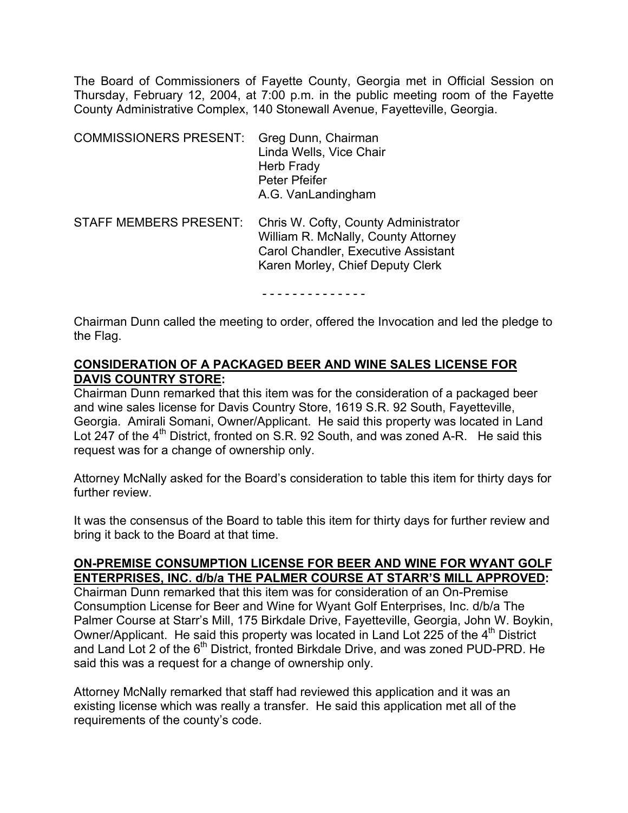The Board of Commissioners of Fayette County, Georgia met in Official Session on Thursday, February 12, 2004, at 7:00 p.m. in the public meeting room of the Fayette County Administrative Complex, 140 Stonewall Avenue, Fayetteville, Georgia.

| <b>COMMISSIONERS PRESENT:</b> | Greg Dunn, Chairman<br>Linda Wells, Vice Chair<br>Herb Frady<br>Peter Pfeifer<br>A.G. VanLandingham                                                    |
|-------------------------------|--------------------------------------------------------------------------------------------------------------------------------------------------------|
| <b>STAFF MEMBERS PRESENT:</b> | Chris W. Cofty, County Administrator<br>William R. McNally, County Attorney<br>Carol Chandler, Executive Assistant<br>Karen Morley, Chief Deputy Clerk |

- - - - - - - - - - - - - -

Chairman Dunn called the meeting to order, offered the Invocation and led the pledge to the Flag.

### **CONSIDERATION OF A PACKAGED BEER AND WINE SALES LICENSE FOR DAVIS COUNTRY STORE:**

Chairman Dunn remarked that this item was for the consideration of a packaged beer and wine sales license for Davis Country Store, 1619 S.R. 92 South, Fayetteville, Georgia. Amirali Somani, Owner/Applicant. He said this property was located in Land Lot  $247$  of the  $4<sup>th</sup>$  District, fronted on S.R. 92 South, and was zoned A-R. He said this request was for a change of ownership only.

Attorney McNally asked for the Board's consideration to table this item for thirty days for further review.

It was the consensus of the Board to table this item for thirty days for further review and bring it back to the Board at that time.

# **ON-PREMISE CONSUMPTION LICENSE FOR BEER AND WINE FOR WYANT GOLF ENTERPRISES, INC. d/b/a THE PALMER COURSE AT STARR'S MILL APPROVED:**

Chairman Dunn remarked that this item was for consideration of an On-Premise Consumption License for Beer and Wine for Wyant Golf Enterprises, Inc. d/b/a The Palmer Course at Starr's Mill, 175 Birkdale Drive, Fayetteville, Georgia, John W. Boykin, Owner/Applicant. He said this property was located in Land Lot 225 of the 4<sup>th</sup> District and Land Lot 2 of the 6<sup>th</sup> District, fronted Birkdale Drive, and was zoned PUD-PRD. He said this was a request for a change of ownership only.

Attorney McNally remarked that staff had reviewed this application and it was an existing license which was really a transfer. He said this application met all of the requirements of the county's code.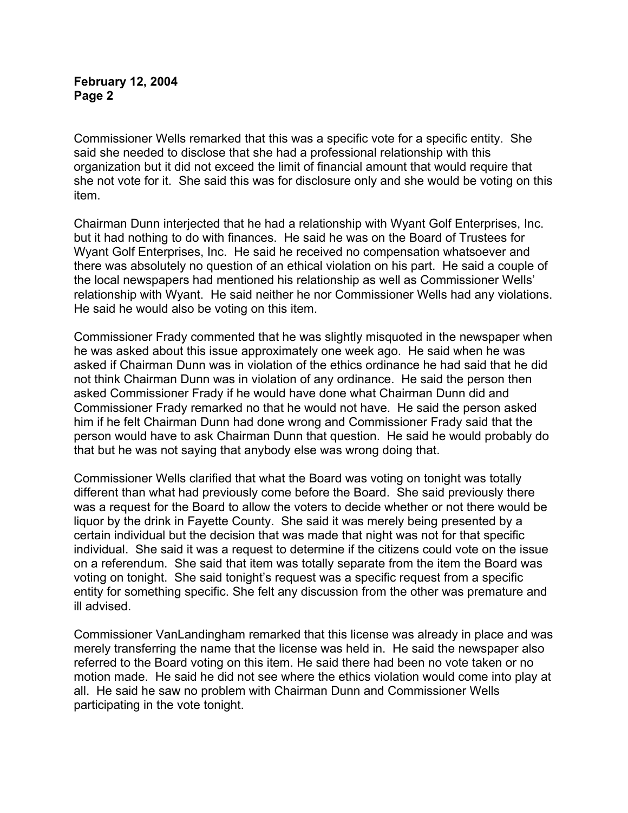Commissioner Wells remarked that this was a specific vote for a specific entity. She said she needed to disclose that she had a professional relationship with this organization but it did not exceed the limit of financial amount that would require that she not vote for it. She said this was for disclosure only and she would be voting on this item.

Chairman Dunn interjected that he had a relationship with Wyant Golf Enterprises, Inc. but it had nothing to do with finances. He said he was on the Board of Trustees for Wyant Golf Enterprises, Inc. He said he received no compensation whatsoever and there was absolutely no question of an ethical violation on his part. He said a couple of the local newspapers had mentioned his relationship as well as Commissioner Wells' relationship with Wyant. He said neither he nor Commissioner Wells had any violations. He said he would also be voting on this item.

Commissioner Frady commented that he was slightly misquoted in the newspaper when he was asked about this issue approximately one week ago. He said when he was asked if Chairman Dunn was in violation of the ethics ordinance he had said that he did not think Chairman Dunn was in violation of any ordinance. He said the person then asked Commissioner Frady if he would have done what Chairman Dunn did and Commissioner Frady remarked no that he would not have. He said the person asked him if he felt Chairman Dunn had done wrong and Commissioner Frady said that the person would have to ask Chairman Dunn that question. He said he would probably do that but he was not saying that anybody else was wrong doing that.

Commissioner Wells clarified that what the Board was voting on tonight was totally different than what had previously come before the Board. She said previously there was a request for the Board to allow the voters to decide whether or not there would be liquor by the drink in Fayette County. She said it was merely being presented by a certain individual but the decision that was made that night was not for that specific individual. She said it was a request to determine if the citizens could vote on the issue on a referendum. She said that item was totally separate from the item the Board was voting on tonight. She said tonight's request was a specific request from a specific entity for something specific. She felt any discussion from the other was premature and ill advised.

Commissioner VanLandingham remarked that this license was already in place and was merely transferring the name that the license was held in. He said the newspaper also referred to the Board voting on this item. He said there had been no vote taken or no motion made. He said he did not see where the ethics violation would come into play at all. He said he saw no problem with Chairman Dunn and Commissioner Wells participating in the vote tonight.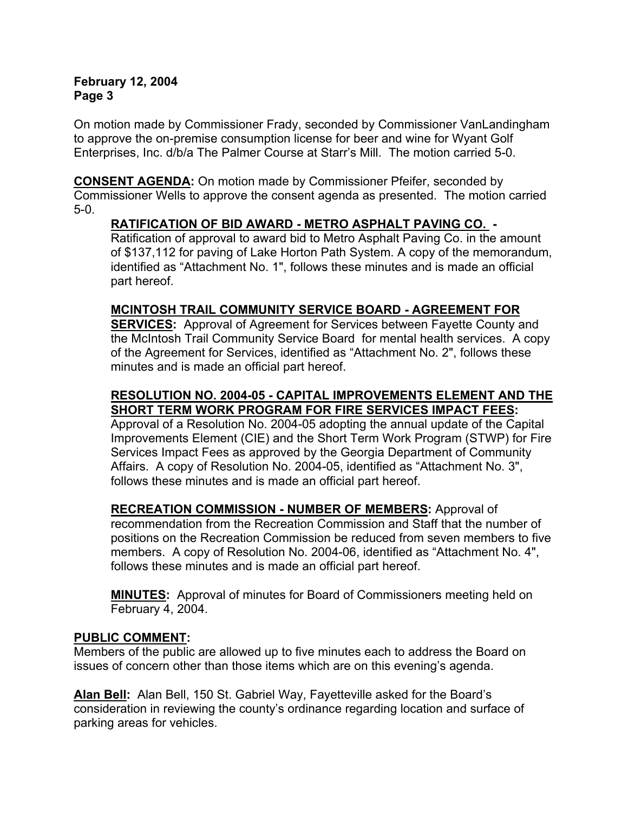On motion made by Commissioner Frady, seconded by Commissioner VanLandingham to approve the on-premise consumption license for beer and wine for Wyant Golf Enterprises, Inc. d/b/a The Palmer Course at Starr's Mill. The motion carried 5-0.

**CONSENT AGENDA:** On motion made by Commissioner Pfeifer, seconded by Commissioner Wells to approve the consent agenda as presented. The motion carried 5-0.

# **RATIFICATION OF BID AWARD - METRO ASPHALT PAVING CO. -**

Ratification of approval to award bid to Metro Asphalt Paving Co. in the amount of \$137,112 for paving of Lake Horton Path System. A copy of the memorandum, identified as "Attachment No. 1", follows these minutes and is made an official part hereof.

# **MCINTOSH TRAIL COMMUNITY SERVICE BOARD - AGREEMENT FOR**

**SERVICES:** Approval of Agreement for Services between Fayette County and the McIntosh Trail Community Service Board for mental health services. A copy of the Agreement for Services, identified as "Attachment No. 2", follows these minutes and is made an official part hereof.

# **RESOLUTION NO. 2004-05 - CAPITAL IMPROVEMENTS ELEMENT AND THE SHORT TERM WORK PROGRAM FOR FIRE SERVICES IMPACT FEES:**

Approval of a Resolution No. 2004-05 adopting the annual update of the Capital Improvements Element (CIE) and the Short Term Work Program (STWP) for Fire Services Impact Fees as approved by the Georgia Department of Community Affairs. A copy of Resolution No. 2004-05, identified as "Attachment No. 3", follows these minutes and is made an official part hereof.

**RECREATION COMMISSION - NUMBER OF MEMBERS:** Approval of recommendation from the Recreation Commission and Staff that the number of positions on the Recreation Commission be reduced from seven members to five members. A copy of Resolution No. 2004-06, identified as "Attachment No. 4", follows these minutes and is made an official part hereof.

**MINUTES:** Approval of minutes for Board of Commissioners meeting held on February 4, 2004.

### **PUBLIC COMMENT:**

Members of the public are allowed up to five minutes each to address the Board on issues of concern other than those items which are on this evening's agenda.

**Alan Bell:** Alan Bell, 150 St. Gabriel Way, Fayetteville asked for the Board's consideration in reviewing the county's ordinance regarding location and surface of parking areas for vehicles.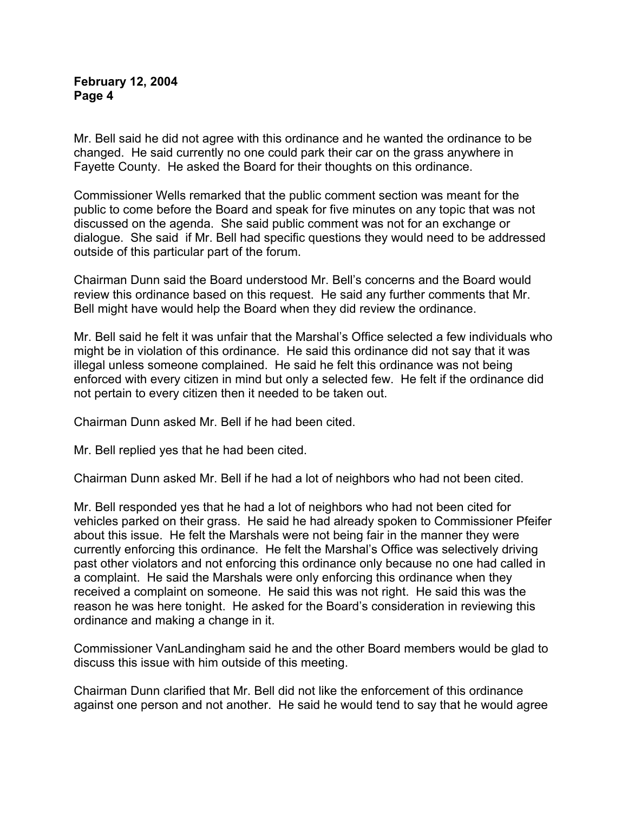Mr. Bell said he did not agree with this ordinance and he wanted the ordinance to be changed. He said currently no one could park their car on the grass anywhere in Fayette County. He asked the Board for their thoughts on this ordinance.

Commissioner Wells remarked that the public comment section was meant for the public to come before the Board and speak for five minutes on any topic that was not discussed on the agenda. She said public comment was not for an exchange or dialogue. She said if Mr. Bell had specific questions they would need to be addressed outside of this particular part of the forum.

Chairman Dunn said the Board understood Mr. Bell's concerns and the Board would review this ordinance based on this request. He said any further comments that Mr. Bell might have would help the Board when they did review the ordinance.

Mr. Bell said he felt it was unfair that the Marshal's Office selected a few individuals who might be in violation of this ordinance. He said this ordinance did not say that it was illegal unless someone complained. He said he felt this ordinance was not being enforced with every citizen in mind but only a selected few. He felt if the ordinance did not pertain to every citizen then it needed to be taken out.

Chairman Dunn asked Mr. Bell if he had been cited.

Mr. Bell replied yes that he had been cited.

Chairman Dunn asked Mr. Bell if he had a lot of neighbors who had not been cited.

Mr. Bell responded yes that he had a lot of neighbors who had not been cited for vehicles parked on their grass. He said he had already spoken to Commissioner Pfeifer about this issue. He felt the Marshals were not being fair in the manner they were currently enforcing this ordinance. He felt the Marshal's Office was selectively driving past other violators and not enforcing this ordinance only because no one had called in a complaint. He said the Marshals were only enforcing this ordinance when they received a complaint on someone. He said this was not right. He said this was the reason he was here tonight. He asked for the Board's consideration in reviewing this ordinance and making a change in it.

Commissioner VanLandingham said he and the other Board members would be glad to discuss this issue with him outside of this meeting.

Chairman Dunn clarified that Mr. Bell did not like the enforcement of this ordinance against one person and not another. He said he would tend to say that he would agree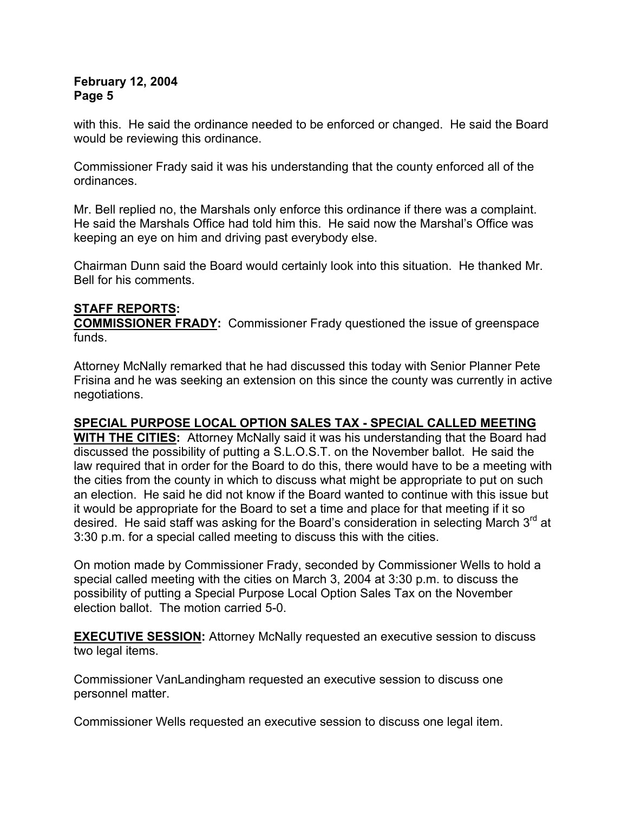with this. He said the ordinance needed to be enforced or changed. He said the Board would be reviewing this ordinance.

Commissioner Frady said it was his understanding that the county enforced all of the ordinances.

Mr. Bell replied no, the Marshals only enforce this ordinance if there was a complaint. He said the Marshals Office had told him this. He said now the Marshal's Office was keeping an eye on him and driving past everybody else.

Chairman Dunn said the Board would certainly look into this situation. He thanked Mr. Bell for his comments.

# **STAFF REPORTS:**

**COMMISSIONER FRADY:** Commissioner Frady questioned the issue of greenspace funds.

Attorney McNally remarked that he had discussed this today with Senior Planner Pete Frisina and he was seeking an extension on this since the county was currently in active negotiations.

# **SPECIAL PURPOSE LOCAL OPTION SALES TAX - SPECIAL CALLED MEETING**

**WITH THE CITIES:** Attorney McNally said it was his understanding that the Board had discussed the possibility of putting a S.L.O.S.T. on the November ballot. He said the law required that in order for the Board to do this, there would have to be a meeting with the cities from the county in which to discuss what might be appropriate to put on such an election. He said he did not know if the Board wanted to continue with this issue but it would be appropriate for the Board to set a time and place for that meeting if it so desired. He said staff was asking for the Board's consideration in selecting March  $3<sup>rd</sup>$  at 3:30 p.m. for a special called meeting to discuss this with the cities.

On motion made by Commissioner Frady, seconded by Commissioner Wells to hold a special called meeting with the cities on March 3, 2004 at 3:30 p.m. to discuss the possibility of putting a Special Purpose Local Option Sales Tax on the November election ballot. The motion carried 5-0.

**EXECUTIVE SESSION:** Attorney McNally requested an executive session to discuss two legal items.

Commissioner VanLandingham requested an executive session to discuss one personnel matter.

Commissioner Wells requested an executive session to discuss one legal item.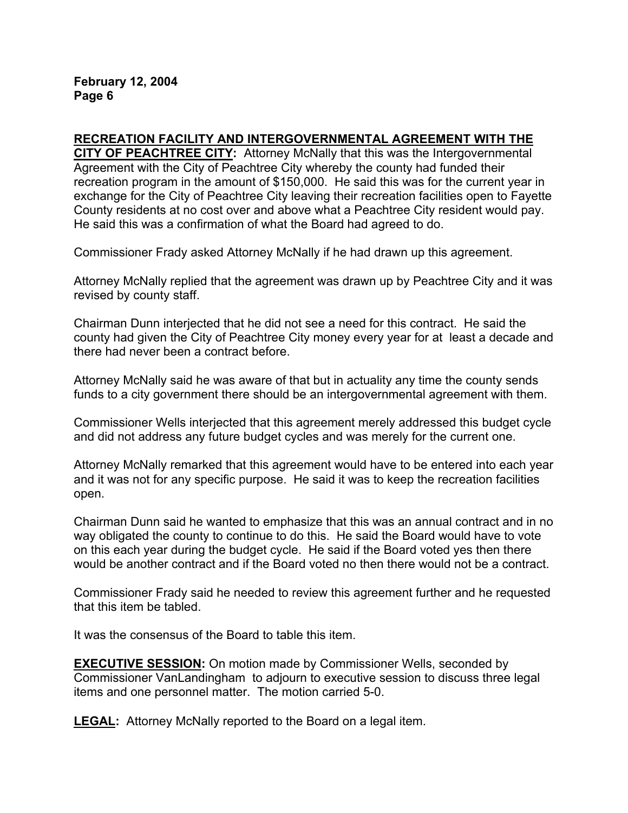### **RECREATION FACILITY AND INTERGOVERNMENTAL AGREEMENT WITH THE**

**CITY OF PEACHTREE CITY:** Attorney McNally that this was the Intergovernmental Agreement with the City of Peachtree City whereby the county had funded their recreation program in the amount of \$150,000. He said this was for the current year in exchange for the City of Peachtree City leaving their recreation facilities open to Fayette County residents at no cost over and above what a Peachtree City resident would pay. He said this was a confirmation of what the Board had agreed to do.

Commissioner Frady asked Attorney McNally if he had drawn up this agreement.

Attorney McNally replied that the agreement was drawn up by Peachtree City and it was revised by county staff.

Chairman Dunn interjected that he did not see a need for this contract. He said the county had given the City of Peachtree City money every year for at least a decade and there had never been a contract before.

Attorney McNally said he was aware of that but in actuality any time the county sends funds to a city government there should be an intergovernmental agreement with them.

Commissioner Wells interjected that this agreement merely addressed this budget cycle and did not address any future budget cycles and was merely for the current one.

Attorney McNally remarked that this agreement would have to be entered into each year and it was not for any specific purpose. He said it was to keep the recreation facilities open.

Chairman Dunn said he wanted to emphasize that this was an annual contract and in no way obligated the county to continue to do this. He said the Board would have to vote on this each year during the budget cycle. He said if the Board voted yes then there would be another contract and if the Board voted no then there would not be a contract.

Commissioner Frady said he needed to review this agreement further and he requested that this item be tabled.

It was the consensus of the Board to table this item.

**EXECUTIVE SESSION:** On motion made by Commissioner Wells, seconded by Commissioner VanLandingham to adjourn to executive session to discuss three legal items and one personnel matter. The motion carried 5-0.

**LEGAL:** Attorney McNally reported to the Board on a legal item.